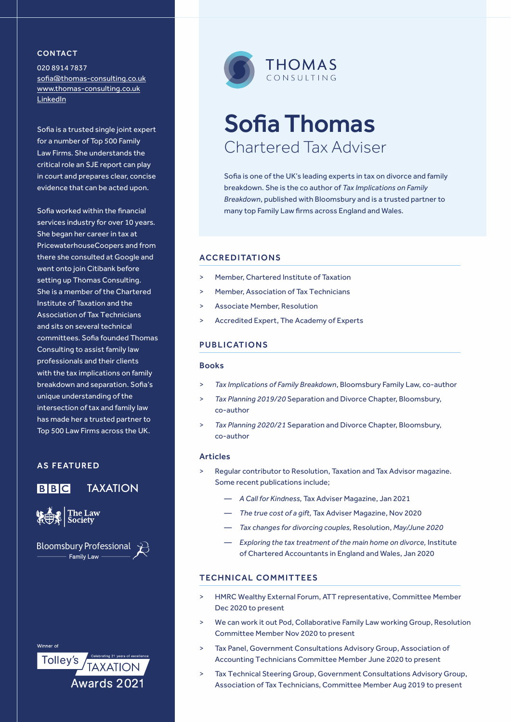#### **CONTACT**

020 8914 7837 [sofia@thomas-consulting.co.uk](mailto:sofia%40thomas-consulting.co.uk?subject=) www.thomas-consulting.co.uk [LinkedIn](https://www.linkedin.com/company/thomasconsultingtax/)

Sofia is a trusted single joint expert for a number of Top 500 Family Law Firms. She understands the critical role an SJE report can play in court and prepares clear, concise evidence that can be acted upon.

Sofia worked within the financial services industry for over 10 years. She began her career in tax at PricewaterhouseCoopers and from there she consulted at Google and went onto join Citibank before setting up Thomas Consulting. She is a member of the Chartered Institute of Taxation and the Association of Tax Technicians and sits on several technical committees. Sofia founded Thomas Consulting to assist family law professionals and their clients with the tax implications on family breakdown and separation. Sofia's unique understanding of the intersection of tax and family law has made her a trusted partner to Top 500 Law Firms across the UK.

## **AS FEATURED**



## TAXATION



**Bloomsbury Professional Family Law** 

Winner of

**Tolley's TAXATION** Awards 2021



# Sofia Thomas Chartered Tax Adviser

Sofia is one of the UK's leading experts in tax on divorce and family breakdown. She is the co author of *Tax Implications on Family Breakdown*, published with Bloomsbury and is a trusted partner to many top Family Law firms across England and Wales.

## **ACCREDITATIONS**

- > Member, Chartered Institute of Taxation
- > Member, Association of Tax Technicians
- Associate Member, Resolution
- Accredited Expert, The Academy of Experts

#### PUBLICATIONS

#### Books

- > *Tax Implications of Family Breakdown*, Bloomsbury Family Law, co-author
- > *Tax Planning 2019/20* Separation and Divorce Chapter, Bloomsbury, co-author
- > *Tax Planning 2020/21* Separation and Divorce Chapter, Bloomsbury, co-author

#### Articles

- > Regular contributor to Resolution, Taxation and Tax Advisor magazine. Some recent publications include;
	- *A Call for Kindness,* Tax Adviser Magazine, Jan 2021
	- *The true cost of a gift,* Tax Adviser Magazine, Nov 2020
	- *Tax changes for divorcing couples,* Resolution, *May/June 2020*
	- *Exploring the tax treatment of the main home on divorce,* Institute of Chartered Accountants in England and Wales, Jan 2020

### **TECHNICAL COMMITTEES**

- > HMRC Wealthy External Forum, ATT representative, Committee Member Dec 2020 to present
- > We can work it out Pod, Collaborative Family Law working Group, Resolution Committee Member Nov 2020 to present
- > Tax Panel, Government Consultations Advisory Group, Association of Accounting Technicians Committee Member June 2020 to present
- > Tax Technical Steering Group, Government Consultations Advisory Group, Association of Tax Technicians, Committee Member Aug 2019 to present